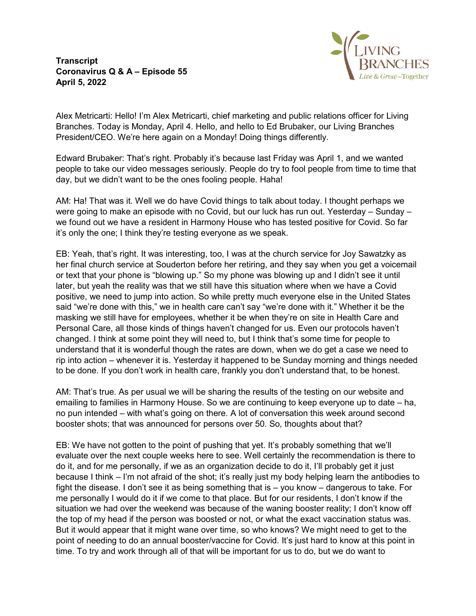**Transcript Coronavirus Q & A – Episode 55 April 5, 2022**



Alex Metricarti: Hello! I'm Alex Metricarti, chief marketing and public relations officer for Living Branches. Today is Monday, April 4. Hello, and hello to Ed Brubaker, our Living Branches President/CEO. We're here again on a Monday! Doing things differently.

Edward Brubaker: That's right. Probably it's because last Friday was April 1, and we wanted people to take our video messages seriously. People do try to fool people from time to time that day, but we didn't want to be the ones fooling people. Haha!

AM: Ha! That was it. Well we do have Covid things to talk about today. I thought perhaps we were going to make an episode with no Covid, but our luck has run out. Yesterday – Sunday – we found out we have a resident in Harmony House who has tested positive for Covid. So far it's only the one; I think they're testing everyone as we speak.

EB: Yeah, that's right. It was interesting, too, I was at the church service for Joy Sawatzky as her final church service at Souderton before her retiring, and they say when you get a voicemail or text that your phone is "blowing up." So my phone was blowing up and I didn't see it until later, but yeah the reality was that we still have this situation where when we have a Covid positive, we need to jump into action. So while pretty much everyone else in the United States said "we're done with this," we in health care can't say "we're done with it." Whether it be the masking we still have for employees, whether it be when they're on site in Health Care and Personal Care, all those kinds of things haven't changed for us. Even our protocols haven't changed. I think at some point they will need to, but I think that's some time for people to understand that it is wonderful though the rates are down, when we do get a case we need to rip into action – whenever it is. Yesterday it happened to be Sunday morning and things needed to be done. If you don't work in health care, frankly you don't understand that, to be honest.

AM: That's true. As per usual we will be sharing the results of the testing on our website and emailing to families in Harmony House. So we are continuing to keep everyone up to date – ha, no pun intended – with what's going on there. A lot of conversation this week around second booster shots; that was announced for persons over 50. So, thoughts about that?

EB: We have not gotten to the point of pushing that yet. It's probably something that we'll evaluate over the next couple weeks here to see. Well certainly the recommendation is there to do it, and for me personally, if we as an organization decide to do it, I'll probably get it just because I think – I'm not afraid of the shot; it's really just my body helping learn the antibodies to fight the disease. I don't see it as being something that is – you know – dangerous to take. For me personally I would do it if we come to that place. But for our residents, I don't know if the situation we had over the weekend was because of the waning booster reality; I don't know off the top of my head if the person was boosted or not, or what the exact vaccination status was. But it would appear that it might wane over time, so who knows? We might need to get to the point of needing to do an annual booster/vaccine for Covid. It's just hard to know at this point in time. To try and work through all of that will be important for us to do, but we do want to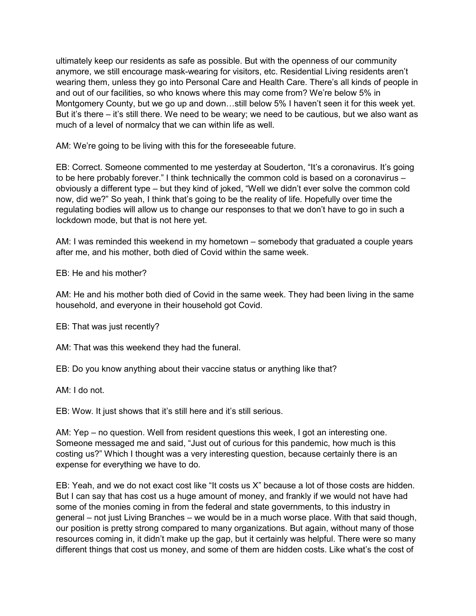ultimately keep our residents as safe as possible. But with the openness of our community anymore, we still encourage mask-wearing for visitors, etc. Residential Living residents aren't wearing them, unless they go into Personal Care and Health Care. There's all kinds of people in and out of our facilities, so who knows where this may come from? We're below 5% in Montgomery County, but we go up and down…still below 5% I haven't seen it for this week yet. But it's there – it's still there. We need to be weary; we need to be cautious, but we also want as much of a level of normalcy that we can within life as well.

AM: We're going to be living with this for the foreseeable future.

EB: Correct. Someone commented to me yesterday at Souderton, "It's a coronavirus. It's going to be here probably forever." I think technically the common cold is based on a coronavirus – obviously a different type – but they kind of joked, "Well we didn't ever solve the common cold now, did we?" So yeah, I think that's going to be the reality of life. Hopefully over time the regulating bodies will allow us to change our responses to that we don't have to go in such a lockdown mode, but that is not here yet.

AM: I was reminded this weekend in my hometown – somebody that graduated a couple years after me, and his mother, both died of Covid within the same week.

EB: He and his mother?

AM: He and his mother both died of Covid in the same week. They had been living in the same household, and everyone in their household got Covid.

EB: That was just recently?

AM: That was this weekend they had the funeral.

EB: Do you know anything about their vaccine status or anything like that?

AM: I do not.

EB: Wow. It just shows that it's still here and it's still serious.

AM: Yep – no question. Well from resident questions this week, I got an interesting one. Someone messaged me and said, "Just out of curious for this pandemic, how much is this costing us?" Which I thought was a very interesting question, because certainly there is an expense for everything we have to do.

EB: Yeah, and we do not exact cost like "It costs us X" because a lot of those costs are hidden. But I can say that has cost us a huge amount of money, and frankly if we would not have had some of the monies coming in from the federal and state governments, to this industry in general – not just Living Branches – we would be in a much worse place. With that said though, our position is pretty strong compared to many organizations. But again, without many of those resources coming in, it didn't make up the gap, but it certainly was helpful. There were so many different things that cost us money, and some of them are hidden costs. Like what's the cost of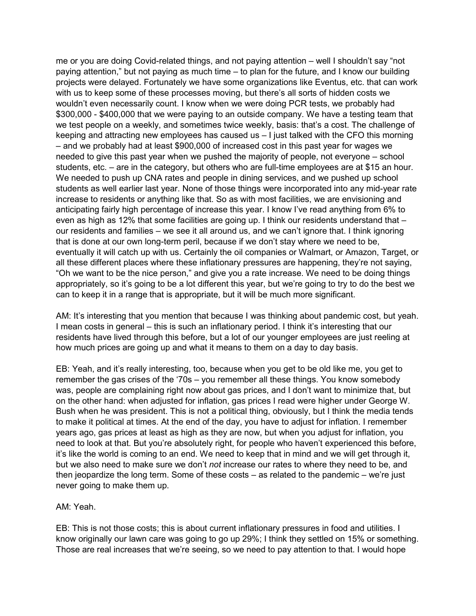me or you are doing Covid-related things, and not paying attention – well I shouldn't say "not paying attention," but not paying as much time – to plan for the future, and I know our building projects were delayed. Fortunately we have some organizations like Eventus, etc. that can work with us to keep some of these processes moving, but there's all sorts of hidden costs we wouldn't even necessarily count. I know when we were doing PCR tests, we probably had \$300,000 - \$400,000 that we were paying to an outside company. We have a testing team that we test people on a weekly, and sometimes twice weekly, basis: that's a cost. The challenge of keeping and attracting new employees has caused us – I just talked with the CFO this morning – and we probably had at least \$900,000 of increased cost in this past year for wages we needed to give this past year when we pushed the majority of people, not everyone – school students, etc. – are in the category, but others who are full-time employees are at \$15 an hour. We needed to push up CNA rates and people in dining services, and we pushed up school students as well earlier last year. None of those things were incorporated into any mid-year rate increase to residents or anything like that. So as with most facilities, we are envisioning and anticipating fairly high percentage of increase this year. I know I've read anything from 6% to even as high as 12% that some facilities are going up. I think our residents understand that – our residents and families – we see it all around us, and we can't ignore that. I think ignoring that is done at our own long-term peril, because if we don't stay where we need to be, eventually it will catch up with us. Certainly the oil companies or Walmart, or Amazon, Target, or all these different places where these inflationary pressures are happening, they're not saying, "Oh we want to be the nice person," and give you a rate increase. We need to be doing things appropriately, so it's going to be a lot different this year, but we're going to try to do the best we can to keep it in a range that is appropriate, but it will be much more significant.

AM: It's interesting that you mention that because I was thinking about pandemic cost, but yeah. I mean costs in general – this is such an inflationary period. I think it's interesting that our residents have lived through this before, but a lot of our younger employees are just reeling at how much prices are going up and what it means to them on a day to day basis.

EB: Yeah, and it's really interesting, too, because when you get to be old like me, you get to remember the gas crises of the '70s – you remember all these things. You know somebody was, people are complaining right now about gas prices, and I don't want to minimize that, but on the other hand: when adjusted for inflation, gas prices I read were higher under George W. Bush when he was president. This is not a political thing, obviously, but I think the media tends to make it political at times. At the end of the day, you have to adjust for inflation. I remember years ago, gas prices at least as high as they are now, but when you adjust for inflation, you need to look at that. But you're absolutely right, for people who haven't experienced this before, it's like the world is coming to an end. We need to keep that in mind and we will get through it, but we also need to make sure we don't *not* increase our rates to where they need to be, and then jeopardize the long term. Some of these costs – as related to the pandemic – we're just never going to make them up.

## AM: Yeah.

EB: This is not those costs; this is about current inflationary pressures in food and utilities. I know originally our lawn care was going to go up 29%; I think they settled on 15% or something. Those are real increases that we're seeing, so we need to pay attention to that. I would hope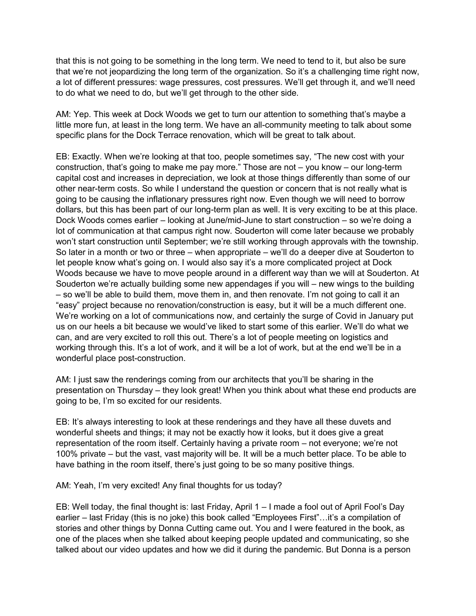that this is not going to be something in the long term. We need to tend to it, but also be sure that we're not jeopardizing the long term of the organization. So it's a challenging time right now, a lot of different pressures: wage pressures, cost pressures. We'll get through it, and we'll need to do what we need to do, but we'll get through to the other side.

AM: Yep. This week at Dock Woods we get to turn our attention to something that's maybe a little more fun, at least in the long term. We have an all-community meeting to talk about some specific plans for the Dock Terrace renovation, which will be great to talk about.

EB: Exactly. When we're looking at that too, people sometimes say, "The new cost with your construction, that's going to make me pay more." Those are not – you know – our long-term capital cost and increases in depreciation, we look at those things differently than some of our other near-term costs. So while I understand the question or concern that is not really what is going to be causing the inflationary pressures right now. Even though we will need to borrow dollars, but this has been part of our long-term plan as well. It is very exciting to be at this place. Dock Woods comes earlier – looking at June/mid-June to start construction – so we're doing a lot of communication at that campus right now. Souderton will come later because we probably won't start construction until September; we're still working through approvals with the township. So later in a month or two or three – when appropriate – we'll do a deeper dive at Souderton to let people know what's going on. I would also say it's a more complicated project at Dock Woods because we have to move people around in a different way than we will at Souderton. At Souderton we're actually building some new appendages if you will – new wings to the building – so we'll be able to build them, move them in, and then renovate. I'm not going to call it an "easy" project because no renovation/construction is easy, but it will be a much different one. We're working on a lot of communications now, and certainly the surge of Covid in January put us on our heels a bit because we would've liked to start some of this earlier. We'll do what we can, and are very excited to roll this out. There's a lot of people meeting on logistics and working through this. It's a lot of work, and it will be a lot of work, but at the end we'll be in a wonderful place post-construction.

AM: I just saw the renderings coming from our architects that you'll be sharing in the presentation on Thursday – they look great! When you think about what these end products are going to be, I'm so excited for our residents.

EB: It's always interesting to look at these renderings and they have all these duvets and wonderful sheets and things; it may not be exactly how it looks, but it does give a great representation of the room itself. Certainly having a private room – not everyone; we're not 100% private – but the vast, vast majority will be. It will be a much better place. To be able to have bathing in the room itself, there's just going to be so many positive things.

AM: Yeah, I'm very excited! Any final thoughts for us today?

EB: Well today, the final thought is: last Friday, April 1 – I made a fool out of April Fool's Day earlier – last Friday (this is no joke) this book called "Employees First"…it's a compilation of stories and other things by Donna Cutting came out. You and I were featured in the book, as one of the places when she talked about keeping people updated and communicating, so she talked about our video updates and how we did it during the pandemic. But Donna is a person